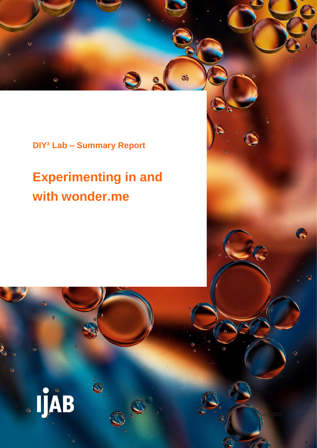**DIY² Lab – Summary Report**

# **Experimenting in and with wonder.me**

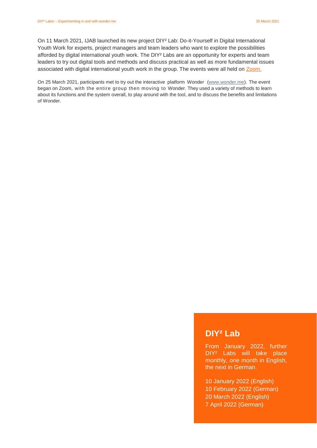On 11 March 2021, IJAB launched its new project DIY² Lab: Do-it-Yourself in Digital International Youth Work for experts, project managers and team leaders who want to explore the possibilities afforded by digital international youth work. The DIY<sup>2</sup> Labs are an opportunity for experts and team leaders to try out digital tools and methods and discuss practical as well as more fundamental issues associated with digital international youth work in the group. The events were all held on [Zoom.](https://zoom.us/de-de/meetings.html)

On 25 March 2021, participants met to try out the interactive platform Wonder [\(www.wonder.me\)](http://www.wonder.me/). The event began on Zoom, with the entire group then moving to Wonder. They used a variety of methods to learn about its functions and the system overall, to play around with the tool, and to discuss the benefits and limitations of Wonder.

### **DIY² Lab**

From January 2022, further DIY² Labs will take place monthly, one month in English, the next in German.

10 January 2022 (English) 10 February 2022 (German) 20 March 2022 (English) 7 April 2022 (German)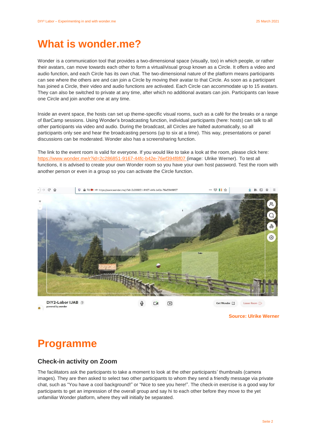### What is wonder me?

Wonder is a communication tool that provides a two-dimensional space (visually, too) in which people, or rather their avatars, can move towards each other to form a virtual/visual group known as a Circle. It offers a video and audio function, and each Circle has its own chat. The two-dimensional nature of the platform means participants can see where the others are and can join a Circle by moving their avatar to that Circle. As soon as a participant has joined a Circle, their video and audio functions are activated. Each Circle can accommodate up to 15 avatars. They can also be switched to private at any time, after which no additional avatars can join. Participants can leave one Circle and join another one at any time.

Inside an event space, the hosts can set up theme-specific visual rooms, such as a café for the breaks or a range of BarCamp sessions. Using Wonder's broadcasting function, individual participants (here: hosts) can talk to all other participants via video and audio. During the broadcast, all Circles are halted automatically, so all participants only see and hear the broadcasting persons (up to six at a time). This way, presentations or panel discussions can be moderated. Wonder also has a screensharing function.

The link to the event room is valid for everyone. If you would like to take a look at the room, please click here: https://www.wonder.me/r?id=2c286851-9167-44fc-b42e-76ef394f8f07 (image: Ulrike Werner). To test all functions, it is advised to create your own Wonder room so you have your own host password. Test the room with another person or even in a group so you can activate the Circle function.



**Source: Ulrike Werner**

### **Programme**

#### **Check-in activity on Zoom**

The facilitators ask the participants to take a moment to look at the other participants' thumbnails (camera images). They are then asked to select two other participants to whom they send a friendly message via private chat, such as "You have a cool background!" or "Nice to see you here!". The check-in exercise is a good way for participants to get an impression of the overall group and say hi to each other before they move to the yet unfamiliar Wonder platform, where they will initially be separated.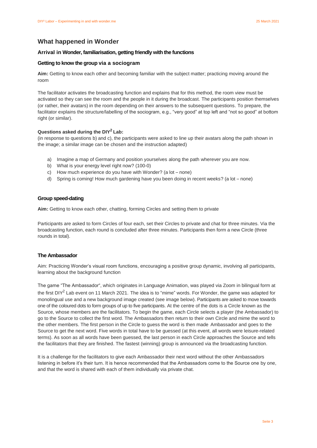#### **What happened in Wonder**

#### **Arrival in Wonder, familiarisation, getting friendly with the functions**

#### **Getting to know the group via a sociogram**

**Aim:** Getting to know each other and becoming familiar with the subject matter; practicing moving around the room

The facilitator activates the broadcasting function and explains that for this method, the room view must be activated so they can see the room and the people in it during the broadcast. The participants position themselves (or rather, their avatars) in the room depending on their answers to the subsequent questions. To prepare, the facilitator explains the structure/labelling of the sociogram, e.g., "very good" at top left and "not so good" at bottom right (or similar).

#### **Questions asked during the DIY<sup>2</sup> Lab:**

(in response to questions b) and c), the participants were asked to line up their avatars along the path shown in the image; a similar image can be chosen and the instruction adapted)

- a) Imagine a map of Germany and position yourselves along the path wherever you are now.
- b) What is your energy level right now? (100-0)
- c) How much experience do you have with Wonder? (a lot none)
- d) Spring is coming! How much gardening have you been doing in recent weeks? (a lot none)

#### **Group speed-dating**

**Aim:** Getting to know each other, chatting, forming Circles and setting them to private

Participants are asked to form Circles of four each, set their Circles to private and chat for three minutes. Via the broadcasting function, each round is concluded after three minutes. Participants then form a new Circle (three rounds in total).

#### **The Ambassador**

Aim: Practicing Wonder's visual room functions, encouraging a positive group dynamic, involving all participants, learning about the background function

The game "The Ambassador", which originates in Language Animation, was played via Zoom in bilingual form at the first DIY<sup>2</sup> Lab event on 11 March 2021. The idea is to "mime" words. For Wonder, the game was adapted for monolingual use and a new background image created (see image below). Participants are asked to move towards one of the coloured dots to form groups of up to five participants. At the centre of the dots is a Circle known as the Source, whose members are the facilitators. To begin the game, each Circle selects a player (the Ambassador) to go to the Source to collect the first word. The Ambassadors then return to their own Circle and mime the word to the other members. The first person in the Circle to guess the word is then made Ambassador and goes to the Source to get the next word. Five words in total have to be guessed (at this event, all words were leisure-related terms). As soon as all words have been guessed, the last person in each Circle approaches the Source and tells the facilitators that they are finished. The fastest (winning) group is announced via the broadcasting function.

It is a challenge for the facilitators to give each Ambassador their next word without the other Ambassadors listening in before it's their turn. It is hence recommended that the Ambassadors come to the Source one by one, and that the word is shared with each of them individually via private chat.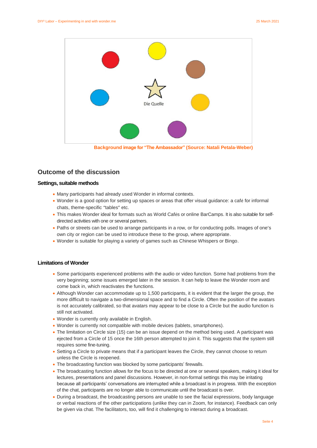

**Background image for "The Ambassador" (Source: Natali Petala-Weber)**

#### **Outcome of the discussion**

#### **Settings, suitable methods**

- Many participants had already used Wonder in informal contexts.
- Wonder is a good option for setting up spaces or areas that offer visual guidance: a café for informal chats, theme-specific "tables" etc.
- This makes Wonder ideal for formats such as World Cafés or online BarCamps. It is also suitable for selfdirected activities with one or several partners.
- Paths or streets can be used to arrange participants in a row, or for conducting polls. Images of one's own city or region can be used to introduce these to the group, where appropriate.
- Wonder is suitable for playing a variety of games such as Chinese Whispers or Bingo.

#### **Limitations of Wonder**

- Some participants experienced problems with the audio or video function. Some had problems from the very beginning; some issues emerged later in the session. It can help to leave the Wonder room and come back in, which reactivates the functions.
- Although Wonder can accommodate up to 1,500 participants, it is evident that the larger the group, the more difficult to navigate a two-dimensional space and to find a Circle. Often the position of the avatars is not accurately calibrated, so that avatars may appear to be close to a Circle but the audio function is still not activated.
- Wonder is currently only available in English.
- Wonder is currently not compatible with mobile devices (tablets, smartphones).
- The limitation on Circle size (15) can be an issue depend on the method being used. A participant was ejected from a Circle of 15 once the 16th person attempted to join it. This suggests that the system still requires some fine-tuning.
- Setting a Circle to private means that if a participant leaves the Circle, they cannot choose to return unless the Circle is reopened.
- The broadcasting function was blocked by some participants' firewalls.
- The broadcasting function allows for the focus to be directed at one or several speakers, making it ideal for lectures, presentations and panel discussions. However, in non-formal settings this may be irritating because all participants' conversations are interrupted while a broadcast is in progress. With the exception of the chat, participants are no longer able to communicate until the broadcast is over.
- During a broadcast, the broadcasting persons are unable to see the facial expressions, body language or verbal reactions of the other participations (unlike they can in Zoom, for instance). Feedback can only be given via chat. The facilitators, too, will find it challenging to interact during a broadcast.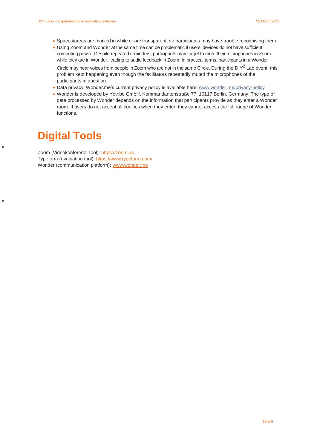- Spaces/areas are marked in white or are transparent, so participants may have trouble recognising them.
- Using Zoom and Wonder at the same time can be problematic if users' devices do not have sufficient computing power. Despite repeated reminders, participants may forget to mute their microphones in Zoom while they are in Wonder, leading to audio feedback in Zoom. In practical terms, participants in a Wonder

Circle may hear voices from people in Zoom who are not in the same Circle. During the  $DIY^2$  Lab event, this problem kept happening even though the facilitators repeatedly muted the microphones of the participants in question.

- Data privacy: Wonder.me's current privacy policy is available here: [www.wonder.me/privacy-policy](http://www.wonder.me/privacy-policy)
- Wonder is developed by Yotribe GmbH, Kommandantenstraße 77, 10117 Berlin, Germany. The type of data processed by Wonder depends on the information that participants provide as they enter a Wonder room. If users do not accept all cookies when they enter, they cannot access the full range of Wonder functions.

## **Digital Tools**

 $\bullet$ 

 $\bullet$ 

Zoom (Videokonferenz-Tool): [https://zoom.us](https://zoom.us/) Typeform (evaluation tool): <https://www.typeform.com/> Wonder (communication platform): [www.wonder.me](http://www.wonder.me/)